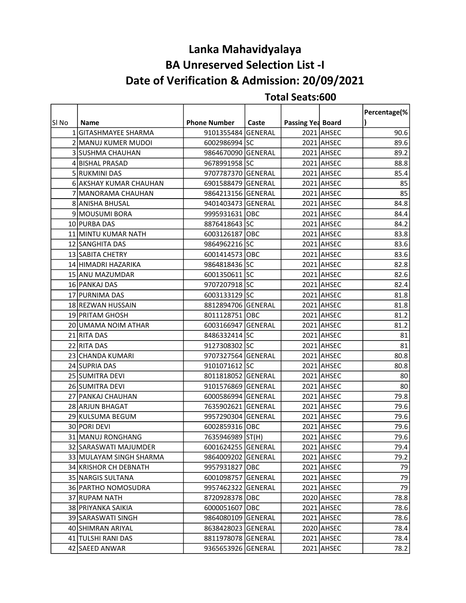## BA Unreserved Selection List -I Lanka Mahavidyalaya Date of Verification & Admission: 20/09/2021

|       |                          |                     |       |                   |            | Percentage(% |
|-------|--------------------------|---------------------|-------|-------------------|------------|--------------|
| SI No | Name                     | <b>Phone Number</b> | Caste | Passing Yea Board |            |              |
|       | 1 GITASHMAYEE SHARMA     | 9101355484 GENERAL  |       |                   | 2021 AHSEC | 90.6         |
|       | 2 MANUJ KUMER MUDOI      | 6002986994 SC       |       |                   | 2021 AHSEC | 89.6         |
|       | <b>3 ISUSHMA CHAUHAN</b> | 9864670090 GENERAL  |       |                   | 2021 AHSEC | 89.2         |
|       | 4 BISHAL PRASAD          | 9678991958 SC       |       |                   | 2021 AHSEC | 88.8         |
|       | 5 RUKMINI DAS            | 9707787370 GENERAL  |       |                   | 2021 AHSEC | 85.4         |
|       | 6 AKSHAY KUMAR CHAUHAN   | 6901588479 GENERAL  |       |                   | 2021 AHSEC | 85           |
|       | 7 MANORAMA CHAUHAN       | 9864213156 GENERAL  |       |                   | 2021 AHSEC | 85           |
|       | 8 ANISHA BHUSAL          | 9401403473 GENERAL  |       |                   | 2021 AHSEC | 84.8         |
|       | 9 MOUSUMI BORA           | 9995931631 OBC      |       |                   | 2021 AHSEC | 84.4         |
|       | 10 PURBA DAS             | 8876418643 SC       |       |                   | 2021 AHSEC | 84.2         |
|       | 11 MINTU KUMAR NATH      | 6003126187 OBC      |       |                   | 2021 AHSEC | 83.8         |
|       | 12 SANGHITA DAS          | 9864962216 SC       |       |                   | 2021 AHSEC | 83.6         |
|       | 13 SABITA CHETRY         | 6001414573 OBC      |       |                   | 2021 AHSEC | 83.6         |
|       | 14 HIMADRI HAZARIKA      | 9864818436 SC       |       |                   | 2021 AHSEC | 82.8         |
|       | 15 ANU MAZUMDAR          | 6001350611 SC       |       |                   | 2021 AHSEC | 82.6         |
|       | 16 PANKAJ DAS            | 9707207918 SC       |       |                   | 2021 AHSEC | 82.4         |
|       | 17 PURNIMA DAS           | 6003133129 SC       |       |                   | 2021 AHSEC | 81.8         |
|       | 18 REZWAN HUSSAIN        | 8812894706 GENERAL  |       |                   | 2021 AHSEC | 81.8         |
|       | 19 PRITAM GHOSH          | 8011128751 OBC      |       |                   | 2021 AHSEC | 81.2         |
|       | 20 UMAMA NOIM ATHAR      | 6003166947 GENERAL  |       |                   | 2021 AHSEC | 81.2         |
|       | 21 RITA DAS              | 8486332414 SC       |       |                   | 2021 AHSEC | 81           |
|       | 22 RITA DAS              | 9127308302 SC       |       |                   | 2021 AHSEC | 81           |
|       | 23 CHANDA KUMARI         | 9707327564 GENERAL  |       |                   | 2021 AHSEC | 80.8         |
|       | 24 SUPRIA DAS            | 9101071612 SC       |       |                   | 2021 AHSEC | 80.8         |
|       | 25 SUMITRA DEVI          | 8011818052 GENERAL  |       |                   | 2021 AHSEC | 80           |
|       | 26 SUMITRA DEVI          | 9101576869 GENERAL  |       |                   | 2021 AHSEC | 80           |
|       | 27 PANKAJ CHAUHAN        | 6000586994 GENERAL  |       |                   | 2021 AHSEC | 79.8         |
|       | 28 ARJUN BHAGAT          | 7635902621 GENERAL  |       |                   | 2021 AHSEC | 79.6         |
|       | 29 KULSUMA BEGUM         | 9957290304 GENERAL  |       |                   | 2021 AHSEC | 79.6         |
|       | 30 PORI DEVI             | 6002859316 OBC      |       |                   | 2021 AHSEC | 79.6         |
|       | 31 MANUJ RONGHANG        | 7635946989 ST(H)    |       |                   | 2021 AHSEC | 79.6         |
|       | 32 SARASWATI MAJUMDER    | 6001624255 GENERAL  |       |                   | 2021 AHSEC | 79.4         |
|       | 33 MULAYAM SINGH SHARMA  | 9864009202 GENERAL  |       |                   | 2021 AHSEC | 79.2         |
|       | 34 KRISHOR CH DEBNATH    | 9957931827 OBC      |       |                   | 2021 AHSEC | 79           |
|       | 35 NARGIS SULTANA        | 6001098757 GENERAL  |       |                   | 2021 AHSEC | 79           |
|       | 36 PARTHO NOMOSUDRA      | 9957462322 GENERAL  |       |                   | 2021 AHSEC | 79           |
|       | 37 RUPAM NATH            | 8720928378 OBC      |       |                   | 2020 AHSEC | 78.8         |
|       | 38 PRIYANKA SAIKIA       | 6000051607 OBC      |       |                   | 2021 AHSEC | 78.6         |
|       | 39 SARASWATI SINGH       | 9864080109 GENERAL  |       |                   | 2021 AHSEC | 78.6         |
|       | 40 SHIMRAN ARIYAL        | 8638428023 GENERAL  |       |                   | 2020 AHSEC | 78.4         |
|       | 41 TULSHI RANI DAS       | 8811978078 GENERAL  |       |                   | 2021 AHSEC | 78.4         |
|       | 42 SAEED ANWAR           | 9365653926 GENERAL  |       |                   | 2021 AHSEC | 78.2         |

## Total Seats:600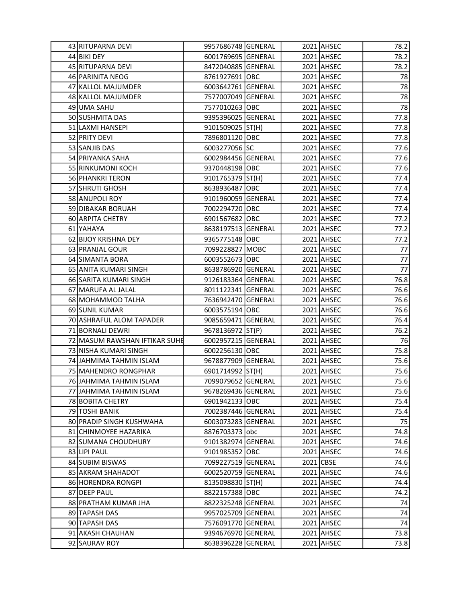| 43 RITUPARNA DEVI             | 9957686748 GENERAL |  | 2021 AHSEC | 78.2 |
|-------------------------------|--------------------|--|------------|------|
| 44 BIKI DEY                   | 6001769695 GENERAL |  | 2021 AHSEC | 78.2 |
| 45 RITUPARNA DEVI             | 8472040885 GENERAL |  | 2021 AHSEC | 78.2 |
| 46 PARINITA NEOG              | 8761927691 OBC     |  | 2021 AHSEC | 78   |
| 47 KALLOL MAJUMDER            | 6003642761 GENERAL |  | 2021 AHSEC | 78   |
| 48 KALLOL MAJUMDER            | 7577007049 GENERAL |  | 2021 AHSEC | 78   |
| 49 UMA SAHU                   | 7577010263 OBC     |  | 2021 AHSEC | 78   |
| 50 SUSHMITA DAS               | 9395396025 GENERAL |  | 2021 AHSEC | 77.8 |
| 51 LAXMI HANSEPI              | 9101509025 ST(H)   |  | 2021 AHSEC | 77.8 |
| 52 PRITY DEVI                 | 7896801120 OBC     |  | 2021 AHSEC | 77.8 |
| 53 SANJIB DAS                 | 6003277056 SC      |  | 2021 AHSEC | 77.6 |
| 54 PRIYANKA SAHA              | 6002984456 GENERAL |  | 2021 AHSEC | 77.6 |
| 55 RINKUMONI KOCH             | 9370448198 OBC     |  | 2021 AHSEC | 77.6 |
| 56 PHANKRI TERON              | 9101765379 ST(H)   |  | 2021 AHSEC | 77.4 |
| 57 SHRUTI GHOSH               | 8638936487 OBC     |  | 2021 AHSEC | 77.4 |
| 58 ANUPOLI ROY                | 9101960059 GENERAL |  | 2021 AHSEC | 77.4 |
| 59 DIBAKAR BORUAH             | 7002294720 OBC     |  | 2021 AHSEC | 77.4 |
| 60 ARPITA CHETRY              | 6901567682 OBC     |  | 2021 AHSEC | 77.2 |
| 61 YAHAYA                     | 8638197513 GENERAL |  | 2021 AHSEC | 77.2 |
| 62 BIJOY KRISHNA DEY          | 9365775148 OBC     |  | 2021 AHSEC | 77.2 |
| 63 PRANJAL GOUR               | 7099228827 MOBC    |  | 2021 AHSEC | 77   |
| 64 SIMANTA BORA               | 6003552673 OBC     |  | 2021 AHSEC | 77   |
| 65 ANITA KUMARI SINGH         | 8638786920 GENERAL |  | 2021 AHSEC | 77   |
| 66 SARITA KUMARI SINGH        | 9126183364 GENERAL |  | 2021 AHSEC | 76.8 |
| 67 MARUFA AL JALAL            | 8011122341 GENERAL |  | 2021 AHSEC | 76.6 |
| 68 MOHAMMOD TALHA             | 7636942470 GENERAL |  | 2021 AHSEC | 76.6 |
| 69 SUNIL KUMAR                | 6003575194 OBC     |  | 2021 AHSEC | 76.6 |
| 70 ASHRAFUL ALOM TAPADER      | 9085659471 GENERAL |  | 2021 AHSEC | 76.4 |
| 71 BORNALI DEWRI              | 9678136972 ST(P)   |  | 2021 AHSEC | 76.2 |
| 72 MASUM RAWSHAN IFTIKAR SUHE | 6002957215 GENERAL |  | 2021 AHSEC | 76   |
| 73 NISHA KUMARI SINGH         | 6002256130 OBC     |  | 2021 AHSEC | 75.8 |
| 74 JAHMIMA TAHMIN ISLAM       | 9678877909 GENERAL |  | 2021 AHSEC | 75.6 |
| 75 MAHENDRO RONGPHAR          | 6901714992 ST(H)   |  | 2021 AHSEC | 75.6 |
| 76 JAHMIMA TAHMIN ISLAM       | 7099079652 GENERAL |  | 2021 AHSEC | 75.6 |
| 77 JAHMIMA TAHMIN ISLAM       | 9678269436 GENERAL |  | 2021 AHSEC | 75.6 |
| 78 BOBITA CHETRY              | 6901942133 OBC     |  | 2021 AHSEC | 75.4 |
| 79 TOSHI BANIK                | 7002387446 GENERAL |  | 2021 AHSEC | 75.4 |
| 80 PRADIP SINGH KUSHWAHA      | 6003073283 GENERAL |  | 2021 AHSEC | 75   |
| 81 CHINMOYEE HAZARIKA         | 8876703373 obc     |  | 2021 AHSEC | 74.8 |
| 82 SUMANA CHOUDHURY           | 9101382974 GENERAL |  | 2021 AHSEC | 74.6 |
| 83 LIPI PAUL                  | 9101985352 OBC     |  | 2021 AHSEC | 74.6 |
| 84 SUBIM BISWAS               | 7099227519 GENERAL |  | 2021 CBSE  | 74.6 |
| 85 AKRAM SHAHADOT             | 6002520759 GENERAL |  | 2021 AHSEC | 74.6 |
| 86 HORENDRA RONGPI            | 8135098830 ST(H)   |  | 2021 AHSEC | 74.4 |
| 87 DEEP PAUL                  | 8822157388 OBC     |  | 2021 AHSEC | 74.2 |
| 88 PRATHAM KUMAR JHA          | 8822325248 GENERAL |  | 2021 AHSEC | 74   |
| 89 TAPASH DAS                 | 9957025709 GENERAL |  | 2021 AHSEC | 74   |
| 90 TAPASH DAS                 | 7576091770 GENERAL |  | 2021 AHSEC | 74   |
| 91 AKASH CHAUHAN              | 9394676970 GENERAL |  | 2021 AHSEC | 73.8 |
| 92 SAURAV ROY                 | 8638396228 GENERAL |  | 2021 AHSEC | 73.8 |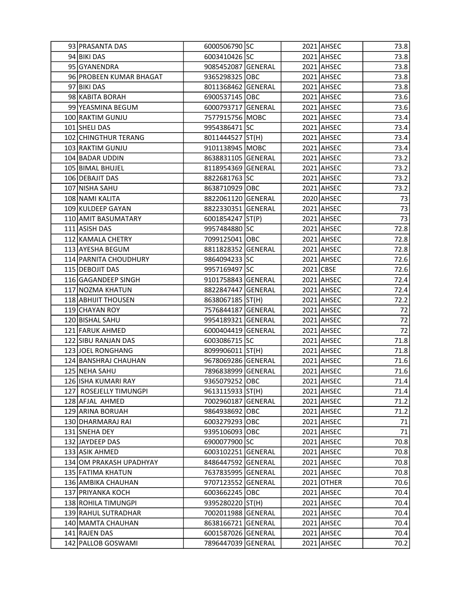| 93 PRASANTA DAS         | 6000506790 SC      |  | 2021 AHSEC | 73.8 |
|-------------------------|--------------------|--|------------|------|
| 94 BIKI DAS             | 6003410426 SC      |  | 2021 AHSEC | 73.8 |
| 95 GYANENDRA            | 9085452087 GENERAL |  | 2021 AHSEC | 73.8 |
| 96 PROBEEN KUMAR BHAGAT | 9365298325 OBC     |  | 2021 AHSEC | 73.8 |
| 97 BIKI DAS             | 8011368462 GENERAL |  | 2021 AHSEC | 73.8 |
| 98 KABITA BORAH         | 6900537145 OBC     |  | 2021 AHSEC | 73.6 |
| 99 YEASMINA BEGUM       | 6000793717 GENERAL |  | 2021 AHSEC | 73.6 |
| 100 RAKTIM GUNJU        | 7577915756 MOBC    |  | 2021 AHSEC | 73.4 |
| 101 SHELI DAS           | 9954386471 SC      |  | 2021 AHSEC | 73.4 |
| 102 CHINGTHUR TERANG    | 8011444527 ST(H)   |  | 2021 AHSEC | 73.4 |
| 103 RAKTIM GUNJU        | 9101138945 MOBC    |  | 2021 AHSEC | 73.4 |
| 104 BADAR UDDIN         | 8638831105 GENERAL |  | 2021 AHSEC | 73.2 |
| 105 BIMAL BHUJEL        | 8118954369 GENERAL |  | 2021 AHSEC | 73.2 |
| 106 DEBAJIT DAS         | 8822681763 SC      |  | 2021 AHSEC | 73.2 |
| 107 NISHA SAHU          | 8638710929 OBC     |  | 2021 AHSEC | 73.2 |
| 108 NAMI KALITA         | 8822061120 GENERAL |  | 2020 AHSEC | 73   |
| 109 KULDEEP GAYAN       | 8822330351 GENERAL |  | 2021 AHSEC | 73   |
| 110 AMIT BASUMATARY     | 6001854247 ST(P)   |  | 2021 AHSEC | 73   |
| 111 ASISH DAS           | 9957484880 SC      |  | 2021 AHSEC | 72.8 |
| 112 KAMALA CHETRY       | 7099125041 OBC     |  | 2021 AHSEC | 72.8 |
| 113 AYESHA BEGUM        | 8811828352 GENERAL |  | 2021 AHSEC | 72.8 |
| 114 PARNITA CHOUDHURY   | 9864094233 SC      |  | 2021 AHSEC | 72.6 |
| 115 DEBOJIT DAS         | 9957169497 SC      |  | 2021 CBSE  | 72.6 |
| 116 GAGANDEEP SINGH     | 9101758843 GENERAL |  | 2021 AHSEC | 72.4 |
| 117 NOZMA KHATUN        | 8822847447 GENERAL |  | 2021 AHSEC | 72.4 |
| 118 ABHIJIT THOUSEN     | 8638067185 ST(H)   |  | 2021 AHSEC | 72.2 |
| 119 CHAYAN ROY          | 7576844187 GENERAL |  | 2021 AHSEC | 72   |
| 120 BISHAL SAHU         | 9954189321 GENERAL |  | 2021 AHSEC | 72   |
| 121 FARUK AHMED         | 6000404419 GENERAL |  | 2021 AHSEC | 72   |
| 122 SIBU RANJAN DAS     | 6003086715 SC      |  | 2021 AHSEC | 71.8 |
| 123 JOEL RONGHANG       | 8099906011 ST(H)   |  | 2021 AHSEC | 71.8 |
| 124 BANSHRAJ CHAUHAN    | 9678069286 GENERAL |  | 2021 AHSEC | 71.6 |
| 125 NEHA SAHU           | 7896838999 GENERAL |  | 2021 AHSEC | 71.6 |
| 126 ISHA KUMARI RAY     | 9365079252 OBC     |  | 2021 AHSEC | 71.4 |
| 127 ROSEJELLY TIMUNGPI  | 9613115933 ST(H)   |  | 2021 AHSEC | 71.4 |
| 128 AFJAL AHMED         | 7002960187 GENERAL |  | 2021 AHSEC | 71.2 |
| 129 ARINA BORUAH        | 9864938692 OBC     |  | 2021 AHSEC | 71.2 |
| 130   DHARMARAJ RAI     | 6003279293 OBC     |  | 2021 AHSEC | 71   |
| 131 SNEHA DEY           | 9395106093 OBC     |  | 2021 AHSEC | 71   |
| 132 JAYDEEP DAS         | 6900077900 SC      |  | 2021 AHSEC | 70.8 |
| 133 ASIK AHMED          | 6003102251 GENERAL |  | 2021 AHSEC | 70.8 |
| 134 OM PRAKASH UPADHYAY | 8486447592 GENERAL |  | 2021 AHSEC | 70.8 |
| 135 FATIMA KHATUN       | 7637835995 GENERAL |  | 2021 AHSEC | 70.8 |
| 136 AMBIKA CHAUHAN      | 9707123552 GENERAL |  | 2021 OTHER | 70.6 |
| 137 PRIYANKA KOCH       | 6003662245 OBC     |  | 2021 AHSEC | 70.4 |
| 138 ROHILA TIMUNGPI     | 9395280220 ST(H)   |  | 2021 AHSEC | 70.4 |
| 139 RAHUL SUTRADHAR     | 7002011988 GENERAL |  | 2021 AHSEC | 70.4 |
| 140 MAMTA CHAUHAN       | 8638166721 GENERAL |  | 2021 AHSEC | 70.4 |
| 141 RAJEN DAS           | 6001587026 GENERAL |  | 2021 AHSEC | 70.4 |
| 142 PALLOB GOSWAMI      | 7896447039 GENERAL |  | 2021 AHSEC | 70.2 |